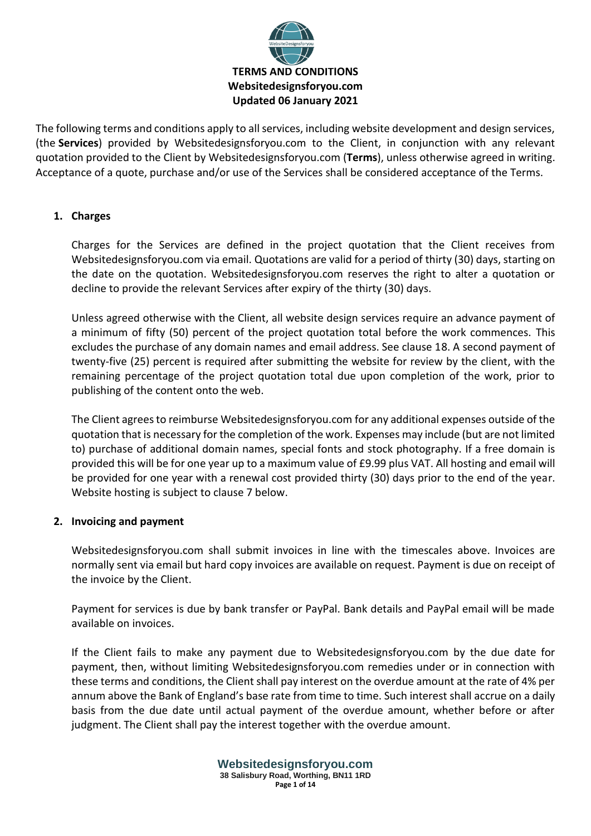

The following terms and conditions apply to all services, including website development and design services, (the **Services**) provided by Websitedesignsforyou.com to the Client, in conjunction with any relevant quotation provided to the Client by Websitedesignsforyou.com (**Terms**), unless otherwise agreed in writing. Acceptance of a quote, purchase and/or use of the Services shall be considered acceptance of the Terms.

# **1. Charges**

Charges for the Services are defined in the project quotation that the Client receives from Websitedesignsforyou.com via email. Quotations are valid for a period of thirty (30) days, starting on the date on the quotation. Websitedesignsforyou.com reserves the right to alter a quotation or decline to provide the relevant Services after expiry of the thirty (30) days.

Unless agreed otherwise with the Client, all website design services require an advance payment of a minimum of fifty (50) percent of the project quotation total before the work commences. This excludes the purchase of any domain names and email address. See clause 18. A second payment of twenty-five (25) percent is required after submitting the website for review by the client, with the remaining percentage of the project quotation total due upon completion of the work, prior to publishing of the content onto the web.

The Client agrees to reimburse Websitedesignsforyou.com for any additional expenses outside of the quotation that is necessary for the completion of the work. Expenses may include (but are not limited to) purchase of additional domain names, special fonts and stock photography. If a free domain is provided this will be for one year up to a maximum value of £9.99 plus VAT. All hosting and email will be provided for one year with a renewal cost provided thirty (30) days prior to the end of the year. Website hosting is subject to clause 7 below.

## **2. Invoicing and payment**

Websitedesignsforyou.com shall submit invoices in line with the timescales above. Invoices are normally sent via email but hard copy invoices are available on request. Payment is due on receipt of the invoice by the Client.

Payment for services is due by bank transfer or PayPal. Bank details and PayPal email will be made available on invoices.

If the Client fails to make any payment due to Websitedesignsforyou.com by the due date for payment, then, without limiting Websitedesignsforyou.com remedies under or in connection with these terms and conditions, the Client shall pay interest on the overdue amount at the rate of 4% per annum above the Bank of England's base rate from time to time. Such interest shall accrue on a daily basis from the due date until actual payment of the overdue amount, whether before or after judgment. The Client shall pay the interest together with the overdue amount.

> **Websitedesignsforyou.com 38 Salisbury Road, Worthing, BN11 1RD Page 1 of 14**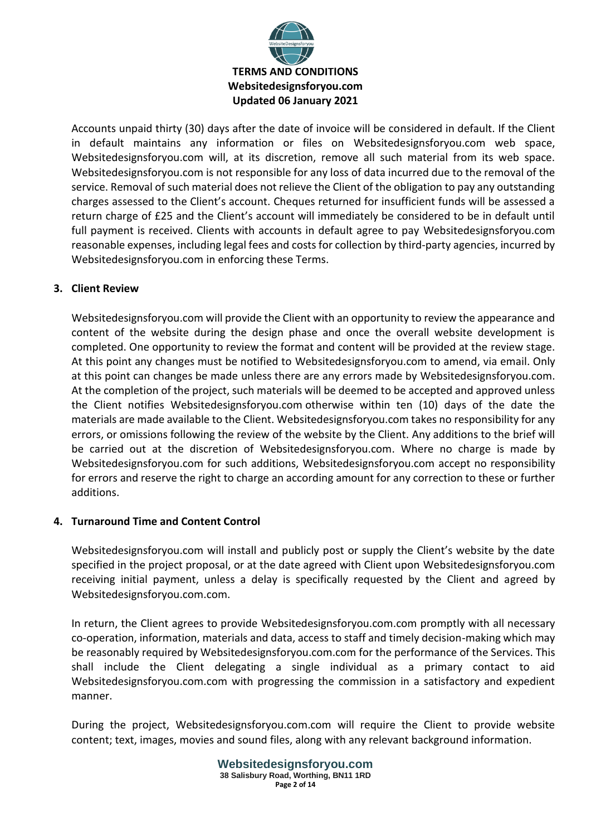

Accounts unpaid thirty (30) days after the date of invoice will be considered in default. If the Client in default maintains any information or files on Websitedesignsforyou.com web space, Websitedesignsforyou.com will, at its discretion, remove all such material from its web space. Websitedesignsforyou.com is not responsible for any loss of data incurred due to the removal of the service. Removal of such material does not relieve the Client of the obligation to pay any outstanding charges assessed to the Client's account. Cheques returned for insufficient funds will be assessed a return charge of £25 and the Client's account will immediately be considered to be in default until full payment is received. Clients with accounts in default agree to pay Websitedesignsforyou.com reasonable expenses, including legal fees and costs for collection by third-party agencies, incurred by Websitedesignsforyou.com in enforcing these Terms.

# **3. Client Review**

Websitedesignsforyou.com will provide the Client with an opportunity to review the appearance and content of the website during the design phase and once the overall website development is completed. One opportunity to review the format and content will be provided at the review stage. At this point any changes must be notified to Websitedesignsforyou.com to amend, via email. Only at this point can changes be made unless there are any errors made by Websitedesignsforyou.com. At the completion of the project, such materials will be deemed to be accepted and approved unless the Client notifies Websitedesignsforyou.com otherwise within ten (10) days of the date the materials are made available to the Client. Websitedesignsforyou.com takes no responsibility for any errors, or omissions following the review of the website by the Client. Any additions to the brief will be carried out at the discretion of Websitedesignsforyou.com. Where no charge is made by Websitedesignsforyou.com for such additions, Websitedesignsforyou.com accept no responsibility for errors and reserve the right to charge an according amount for any correction to these or further additions.

## **4. Turnaround Time and Content Control**

Websitedesignsforyou.com will install and publicly post or supply the Client's website by the date specified in the project proposal, or at the date agreed with Client upon Websitedesignsforyou.com receiving initial payment, unless a delay is specifically requested by the Client and agreed by Websitedesignsforyou.com.com.

In return, the Client agrees to provide Websitedesignsforyou.com.com promptly with all necessary co-operation, information, materials and data, access to staff and timely decision-making which may be reasonably required by Websitedesignsforyou.com.com for the performance of the Services. This shall include the Client delegating a single individual as a primary contact to aid Websitedesignsforyou.com.com with progressing the commission in a satisfactory and expedient manner.

During the project, Websitedesignsforyou.com.com will require the Client to provide website content; text, images, movies and sound files, along with any relevant background information.

> **Websitedesignsforyou.com 38 Salisbury Road, Worthing, BN11 1RD Page 2 of 14**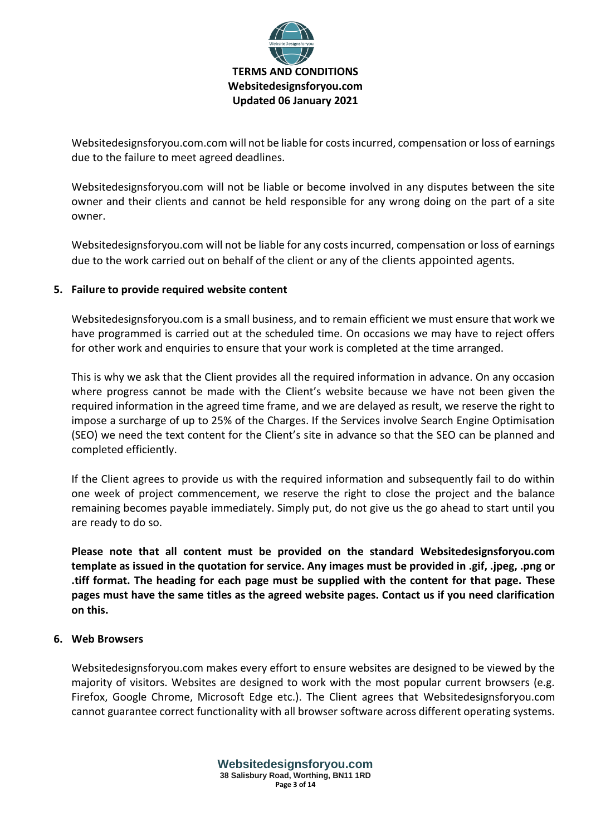

Websitedesignsforyou.com.com will not be liable for costs incurred, compensation or loss of earnings due to the failure to meet agreed deadlines.

Websitedesignsforyou.com will not be liable or become involved in any disputes between the site owner and their clients and cannot be held responsible for any wrong doing on the part of a site owner.

Websitedesignsforyou.com will not be liable for any costs incurred, compensation or loss of earnings due to the work carried out on behalf of the client or any of the clients appointed agents.

## **5. Failure to provide required website content**

Websitedesignsforyou.com is a small business, and to remain efficient we must ensure that work we have programmed is carried out at the scheduled time. On occasions we may have to reject offers for other work and enquiries to ensure that your work is completed at the time arranged.

This is why we ask that the Client provides all the required information in advance. On any occasion where progress cannot be made with the Client's website because we have not been given the required information in the agreed time frame, and we are delayed as result, we reserve the right to impose a surcharge of up to 25% of the Charges. If the Services involve Search Engine Optimisation (SEO) we need the text content for the Client's site in advance so that the SEO can be planned and completed efficiently.

If the Client agrees to provide us with the required information and subsequently fail to do within one week of project commencement, we reserve the right to close the project and the balance remaining becomes payable immediately. Simply put, do not give us the go ahead to start until you are ready to do so.

**Please note that all content must be provided on the standard Websitedesignsforyou.com template as issued in the quotation for service. Any images must be provided in .gif, .jpeg, .png or .tiff format. The heading for each page must be supplied with the content for that page. These pages must have the same titles as the agreed website pages. Contact us if you need clarification on this.**

## **6. Web Browsers**

Websitedesignsforyou.com makes every effort to ensure websites are designed to be viewed by the majority of visitors. Websites are designed to work with the most popular current browsers (e.g. Firefox, Google Chrome, Microsoft Edge etc.). The Client agrees that Websitedesignsforyou.com cannot guarantee correct functionality with all browser software across different operating systems.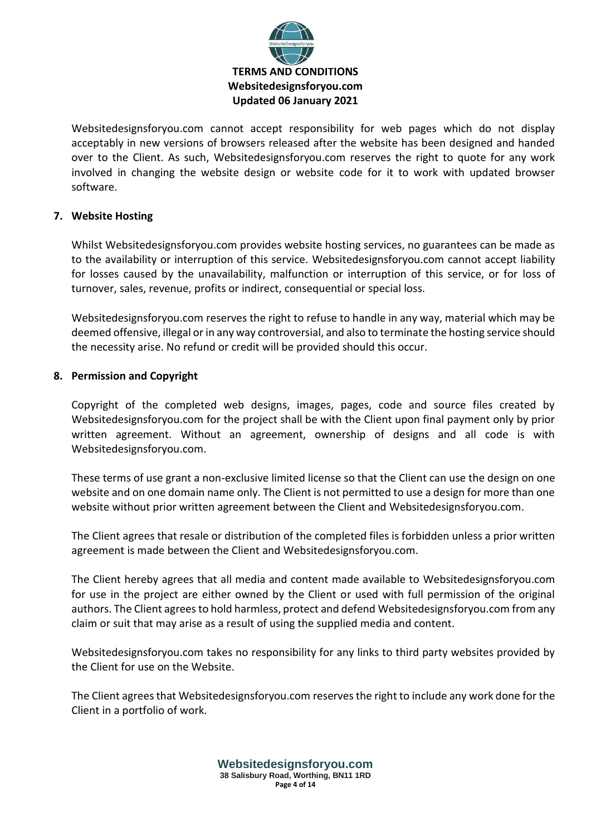

Websitedesignsforyou.com cannot accept responsibility for web pages which do not display acceptably in new versions of browsers released after the website has been designed and handed over to the Client. As such, Websitedesignsforyou.com reserves the right to quote for any work involved in changing the website design or website code for it to work with updated browser software.

# **7. Website Hosting**

Whilst Websitedesignsforyou.com provides website hosting services, no guarantees can be made as to the availability or interruption of this service. Websitedesignsforyou.com cannot accept liability for losses caused by the unavailability, malfunction or interruption of this service, or for loss of turnover, sales, revenue, profits or indirect, consequential or special loss.

Websitedesignsforyou.com reserves the right to refuse to handle in any way, material which may be deemed offensive, illegal or in any way controversial, and also to terminate the hosting service should the necessity arise. No refund or credit will be provided should this occur.

## **8. Permission and Copyright**

Copyright of the completed web designs, images, pages, code and source files created by Websitedesignsforyou.com for the project shall be with the Client upon final payment only by prior written agreement. Without an agreement, ownership of designs and all code is with Websitedesignsforyou.com.

These terms of use grant a non-exclusive limited license so that the Client can use the design on one website and on one domain name only. The Client is not permitted to use a design for more than one website without prior written agreement between the Client and Websitedesignsforyou.com.

The Client agrees that resale or distribution of the completed files is forbidden unless a prior written agreement is made between the Client and Websitedesignsforyou.com.

The Client hereby agrees that all media and content made available to Websitedesignsforyou.com for use in the project are either owned by the Client or used with full permission of the original authors. The Client agrees to hold harmless, protect and defend Websitedesignsforyou.com from any claim or suit that may arise as a result of using the supplied media and content.

Websitedesignsforyou.com takes no responsibility for any links to third party websites provided by the Client for use on the Website.

The Client agrees that Websitedesignsforyou.com reserves the right to include any work done for the Client in a portfolio of work.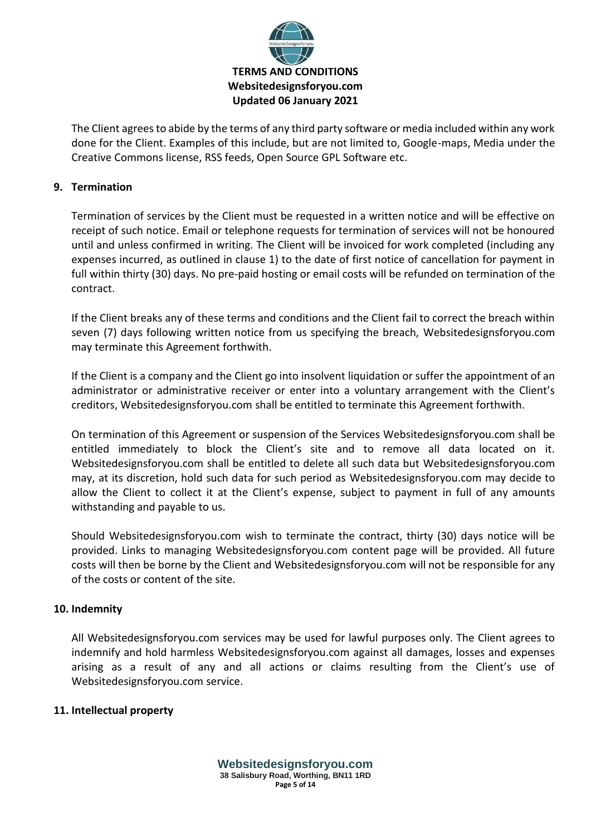

The Client agrees to abide by the terms of any third party software or media included within any work done for the Client. Examples of this include, but are not limited to, Google-maps, Media under the Creative Commons license, RSS feeds, Open Source GPL Software etc.

## **9. Termination**

Termination of services by the Client must be requested in a written notice and will be effective on receipt of such notice. Email or telephone requests for termination of services will not be honoured until and unless confirmed in writing. The Client will be invoiced for work completed (including any expenses incurred, as outlined in clause 1) to the date of first notice of cancellation for payment in full within thirty (30) days. No pre-paid hosting or email costs will be refunded on termination of the contract.

If the Client breaks any of these terms and conditions and the Client fail to correct the breach within seven (7) days following written notice from us specifying the breach, Websitedesignsforyou.com may terminate this Agreement forthwith.

If the Client is a company and the Client go into insolvent liquidation or suffer the appointment of an administrator or administrative receiver or enter into a voluntary arrangement with the Client's creditors, Websitedesignsforyou.com shall be entitled to terminate this Agreement forthwith.

On termination of this Agreement or suspension of the Services Websitedesignsforyou.com shall be entitled immediately to block the Client's site and to remove all data located on it. Websitedesignsforyou.com shall be entitled to delete all such data but Websitedesignsforyou.com may, at its discretion, hold such data for such period as Websitedesignsforyou.com may decide to allow the Client to collect it at the Client's expense, subject to payment in full of any amounts withstanding and payable to us.

Should Websitedesignsforyou.com wish to terminate the contract, thirty (30) days notice will be provided. Links to managing Websitedesignsforyou.com content page will be provided. All future costs will then be borne by the Client and Websitedesignsforyou.com will not be responsible for any of the costs or content of the site.

## **10. Indemnity**

All Websitedesignsforyou.com services may be used for lawful purposes only. The Client agrees to indemnify and hold harmless Websitedesignsforyou.com against all damages, losses and expenses arising as a result of any and all actions or claims resulting from the Client's use of Websitedesignsforyou.com service.

## **11. Intellectual property**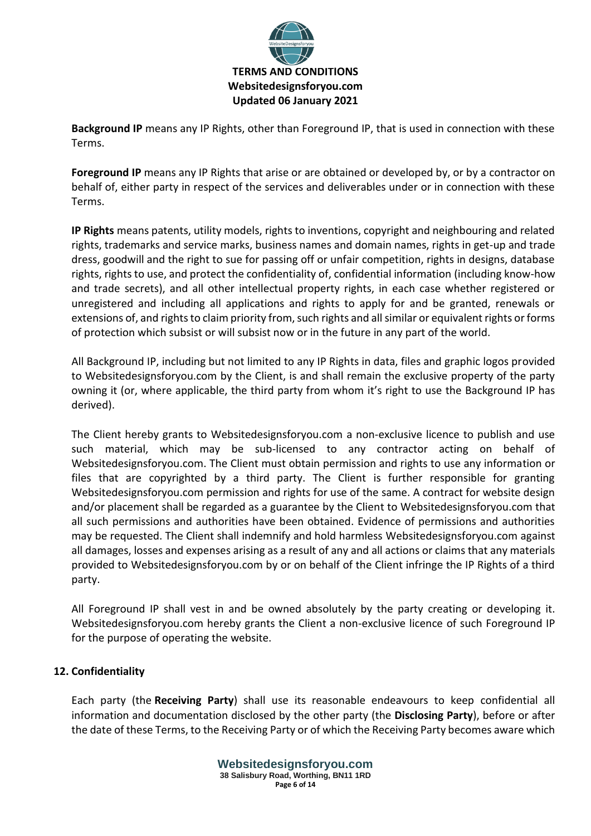

**Background IP** means any IP Rights, other than Foreground IP, that is used in connection with these Terms.

**Foreground IP** means any IP Rights that arise or are obtained or developed by, or by a contractor on behalf of, either party in respect of the services and deliverables under or in connection with these Terms.

**IP Rights** means patents, utility models, rights to inventions, copyright and neighbouring and related rights, trademarks and service marks, business names and domain names, rights in get-up and trade dress, goodwill and the right to sue for passing off or unfair competition, rights in designs, database rights, rights to use, and protect the confidentiality of, confidential information (including know-how and trade secrets), and all other intellectual property rights, in each case whether registered or unregistered and including all applications and rights to apply for and be granted, renewals or extensions of, and rights to claim priority from, such rights and all similar or equivalent rights or forms of protection which subsist or will subsist now or in the future in any part of the world.

All Background IP, including but not limited to any IP Rights in data, files and graphic logos provided to Websitedesignsforyou.com by the Client, is and shall remain the exclusive property of the party owning it (or, where applicable, the third party from whom it's right to use the Background IP has derived).

The Client hereby grants to Websitedesignsforyou.com a non-exclusive licence to publish and use such material, which may be sub-licensed to any contractor acting on behalf of Websitedesignsforyou.com. The Client must obtain permission and rights to use any information or files that are copyrighted by a third party. The Client is further responsible for granting Websitedesignsforyou.com permission and rights for use of the same. A contract for website design and/or placement shall be regarded as a guarantee by the Client to Websitedesignsforyou.com that all such permissions and authorities have been obtained. Evidence of permissions and authorities may be requested. The Client shall indemnify and hold harmless Websitedesignsforyou.com against all damages, losses and expenses arising as a result of any and all actions or claims that any materials provided to Websitedesignsforyou.com by or on behalf of the Client infringe the IP Rights of a third party.

All Foreground IP shall vest in and be owned absolutely by the party creating or developing it. Websitedesignsforyou.com hereby grants the Client a non-exclusive licence of such Foreground IP for the purpose of operating the website.

# **12. Confidentiality**

Each party (the **Receiving Party**) shall use its reasonable endeavours to keep confidential all information and documentation disclosed by the other party (the **Disclosing Party**), before or after the date of these Terms, to the Receiving Party or of which the Receiving Party becomes aware which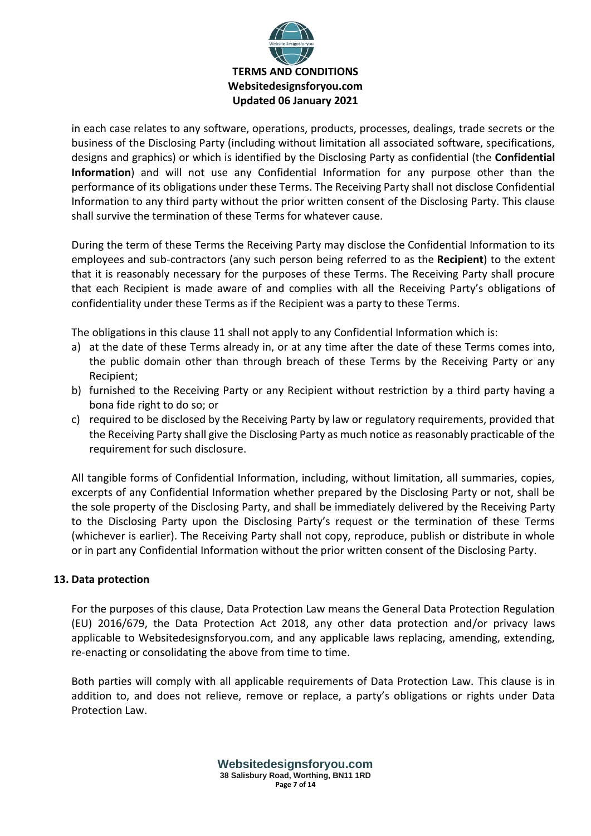

in each case relates to any software, operations, products, processes, dealings, trade secrets or the business of the Disclosing Party (including without limitation all associated software, specifications, designs and graphics) or which is identified by the Disclosing Party as confidential (the **Confidential Information**) and will not use any Confidential Information for any purpose other than the performance of its obligations under these Terms. The Receiving Party shall not disclose Confidential Information to any third party without the prior written consent of the Disclosing Party. This clause shall survive the termination of these Terms for whatever cause.

During the term of these Terms the Receiving Party may disclose the Confidential Information to its employees and sub-contractors (any such person being referred to as the **Recipient**) to the extent that it is reasonably necessary for the purposes of these Terms. The Receiving Party shall procure that each Recipient is made aware of and complies with all the Receiving Party's obligations of confidentiality under these Terms as if the Recipient was a party to these Terms.

The obligations in this clause 11 shall not apply to any Confidential Information which is:

- a) at the date of these Terms already in, or at any time after the date of these Terms comes into, the public domain other than through breach of these Terms by the Receiving Party or any Recipient;
- b) furnished to the Receiving Party or any Recipient without restriction by a third party having a bona fide right to do so; or
- c) required to be disclosed by the Receiving Party by law or regulatory requirements, provided that the Receiving Party shall give the Disclosing Party as much notice as reasonably practicable of the requirement for such disclosure.

All tangible forms of Confidential Information, including, without limitation, all summaries, copies, excerpts of any Confidential Information whether prepared by the Disclosing Party or not, shall be the sole property of the Disclosing Party, and shall be immediately delivered by the Receiving Party to the Disclosing Party upon the Disclosing Party's request or the termination of these Terms (whichever is earlier). The Receiving Party shall not copy, reproduce, publish or distribute in whole or in part any Confidential Information without the prior written consent of the Disclosing Party.

## **13. Data protection**

For the purposes of this clause, Data Protection Law means the General Data Protection Regulation (EU) 2016/679, the Data Protection Act 2018, any other data protection and/or privacy laws applicable to Websitedesignsforyou.com, and any applicable laws replacing, amending, extending, re-enacting or consolidating the above from time to time.

Both parties will comply with all applicable requirements of Data Protection Law. This clause is in addition to, and does not relieve, remove or replace, a party's obligations or rights under Data Protection Law.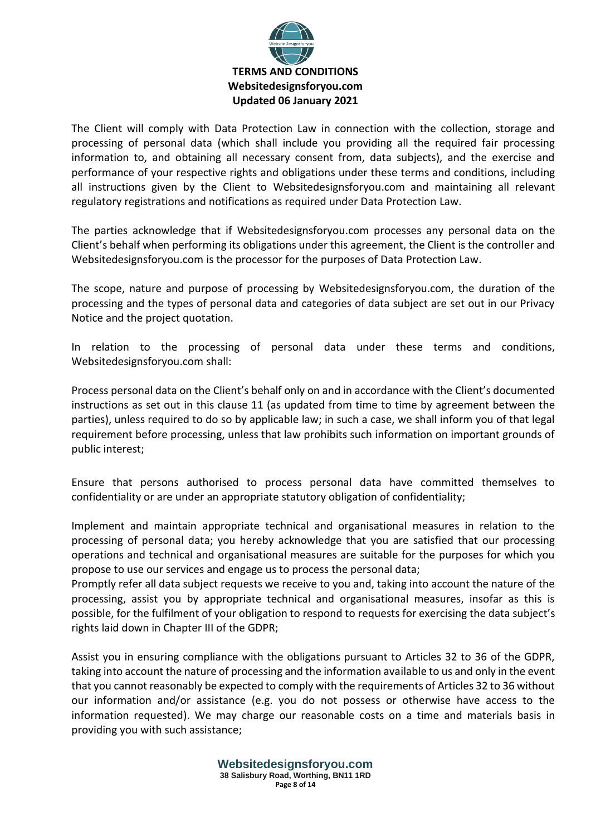

The Client will comply with Data Protection Law in connection with the collection, storage and processing of personal data (which shall include you providing all the required fair processing information to, and obtaining all necessary consent from, data subjects), and the exercise and performance of your respective rights and obligations under these terms and conditions, including all instructions given by the Client to Websitedesignsforyou.com and maintaining all relevant regulatory registrations and notifications as required under Data Protection Law.

The parties acknowledge that if Websitedesignsforyou.com processes any personal data on the Client's behalf when performing its obligations under this agreement, the Client is the controller and Websitedesignsforyou.com is the processor for the purposes of Data Protection Law.

The scope, nature and purpose of processing by Websitedesignsforyou.com, the duration of the processing and the types of personal data and categories of data subject are set out in our Privacy Notice and the project quotation.

In relation to the processing of personal data under these terms and conditions, Websitedesignsforyou.com shall:

Process personal data on the Client's behalf only on and in accordance with the Client's documented instructions as set out in this clause 11 (as updated from time to time by agreement between the parties), unless required to do so by applicable law; in such a case, we shall inform you of that legal requirement before processing, unless that law prohibits such information on important grounds of public interest;

Ensure that persons authorised to process personal data have committed themselves to confidentiality or are under an appropriate statutory obligation of confidentiality;

Implement and maintain appropriate technical and organisational measures in relation to the processing of personal data; you hereby acknowledge that you are satisfied that our processing operations and technical and organisational measures are suitable for the purposes for which you propose to use our services and engage us to process the personal data;

Promptly refer all data subject requests we receive to you and, taking into account the nature of the processing, assist you by appropriate technical and organisational measures, insofar as this is possible, for the fulfilment of your obligation to respond to requests for exercising the data subject's rights laid down in Chapter III of the GDPR;

Assist you in ensuring compliance with the obligations pursuant to Articles 32 to 36 of the GDPR, taking into account the nature of processing and the information available to us and only in the event that you cannot reasonably be expected to comply with the requirements of Articles 32 to 36 without our information and/or assistance (e.g. you do not possess or otherwise have access to the information requested). We may charge our reasonable costs on a time and materials basis in providing you with such assistance;

> **Websitedesignsforyou.com 38 Salisbury Road, Worthing, BN11 1RD Page 8 of 14**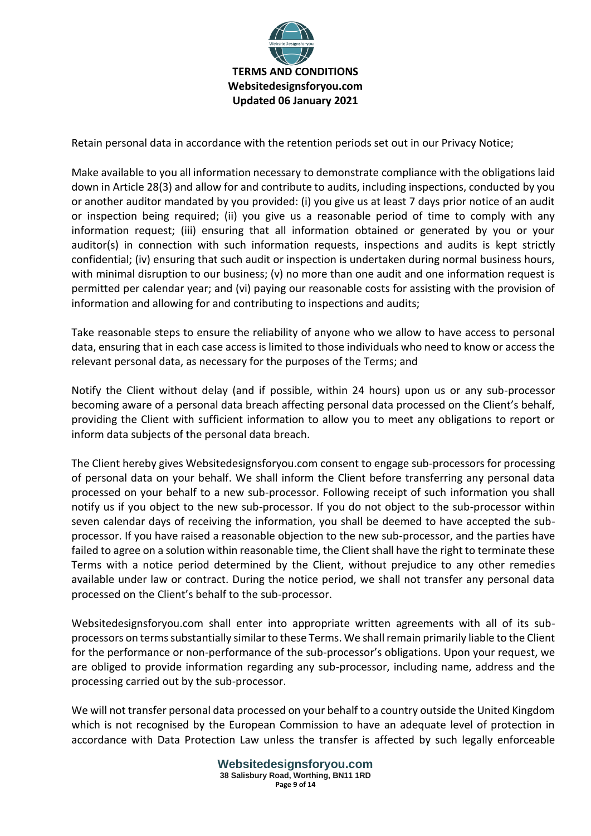

Retain personal data in accordance with the retention periods set out in our Privacy Notice;

Make available to you all information necessary to demonstrate compliance with the obligations laid down in Article 28(3) and allow for and contribute to audits, including inspections, conducted by you or another auditor mandated by you provided: (i) you give us at least 7 days prior notice of an audit or inspection being required; (ii) you give us a reasonable period of time to comply with any information request; (iii) ensuring that all information obtained or generated by you or your auditor(s) in connection with such information requests, inspections and audits is kept strictly confidential; (iv) ensuring that such audit or inspection is undertaken during normal business hours, with minimal disruption to our business; (v) no more than one audit and one information request is permitted per calendar year; and (vi) paying our reasonable costs for assisting with the provision of information and allowing for and contributing to inspections and audits;

Take reasonable steps to ensure the reliability of anyone who we allow to have access to personal data, ensuring that in each case access is limited to those individuals who need to know or access the relevant personal data, as necessary for the purposes of the Terms; and

Notify the Client without delay (and if possible, within 24 hours) upon us or any sub-processor becoming aware of a personal data breach affecting personal data processed on the Client's behalf, providing the Client with sufficient information to allow you to meet any obligations to report or inform data subjects of the personal data breach.

The Client hereby gives Websitedesignsforyou.com consent to engage sub-processors for processing of personal data on your behalf. We shall inform the Client before transferring any personal data processed on your behalf to a new sub-processor. Following receipt of such information you shall notify us if you object to the new sub-processor. If you do not object to the sub-processor within seven calendar days of receiving the information, you shall be deemed to have accepted the subprocessor. If you have raised a reasonable objection to the new sub-processor, and the parties have failed to agree on a solution within reasonable time, the Client shall have the right to terminate these Terms with a notice period determined by the Client, without prejudice to any other remedies available under law or contract. During the notice period, we shall not transfer any personal data processed on the Client's behalf to the sub-processor.

Websitedesignsforyou.com shall enter into appropriate written agreements with all of its subprocessors on terms substantially similar to these Terms. We shall remain primarily liable to the Client for the performance or non-performance of the sub-processor's obligations. Upon your request, we are obliged to provide information regarding any sub-processor, including name, address and the processing carried out by the sub-processor.

We will not transfer personal data processed on your behalf to a country outside the United Kingdom which is not recognised by the European Commission to have an adequate level of protection in accordance with Data Protection Law unless the transfer is affected by such legally enforceable

> **Websitedesignsforyou.com 38 Salisbury Road, Worthing, BN11 1RD Page 9 of 14**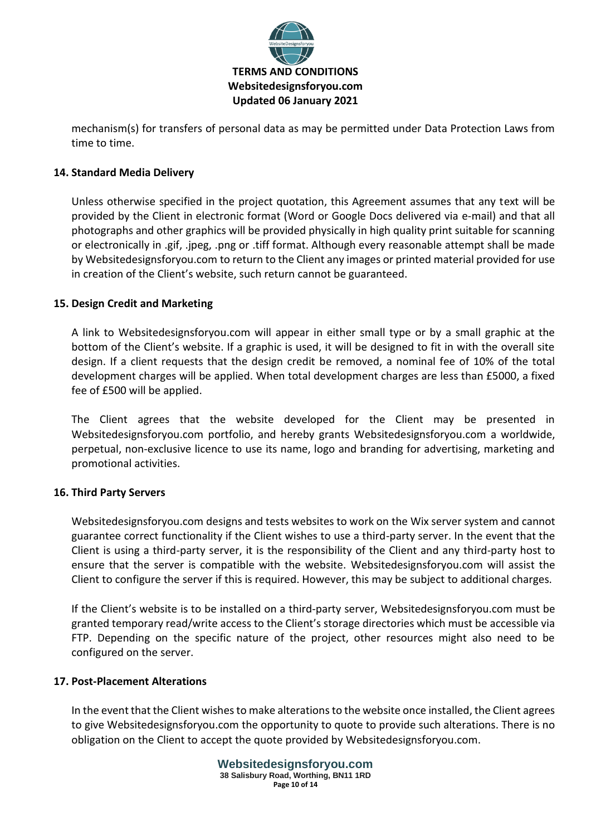

mechanism(s) for transfers of personal data as may be permitted under Data Protection Laws from time to time.

# **14. Standard Media Delivery**

Unless otherwise specified in the project quotation, this Agreement assumes that any text will be provided by the Client in electronic format (Word or Google Docs delivered via e-mail) and that all photographs and other graphics will be provided physically in high quality print suitable for scanning or electronically in .gif, .jpeg, .png or .tiff format. Although every reasonable attempt shall be made by Websitedesignsforyou.com to return to the Client any images or printed material provided for use in creation of the Client's website, such return cannot be guaranteed.

## **15. Design Credit and Marketing**

A link to Websitedesignsforyou.com will appear in either small type or by a small graphic at the bottom of the Client's website. If a graphic is used, it will be designed to fit in with the overall site design. If a client requests that the design credit be removed, a nominal fee of 10% of the total development charges will be applied. When total development charges are less than £5000, a fixed fee of £500 will be applied.

The Client agrees that the website developed for the Client may be presented in Websitedesignsforyou.com portfolio, and hereby grants Websitedesignsforyou.com a worldwide, perpetual, non-exclusive licence to use its name, logo and branding for advertising, marketing and promotional activities.

#### **16. Third Party Servers**

Websitedesignsforyou.com designs and tests websites to work on the Wix server system and cannot guarantee correct functionality if the Client wishes to use a third-party server. In the event that the Client is using a third-party server, it is the responsibility of the Client and any third-party host to ensure that the server is compatible with the website. Websitedesignsforyou.com will assist the Client to configure the server if this is required. However, this may be subject to additional charges.

If the Client's website is to be installed on a third-party server, Websitedesignsforyou.com must be granted temporary read/write access to the Client's storage directories which must be accessible via FTP. Depending on the specific nature of the project, other resources might also need to be configured on the server.

#### **17. Post-Placement Alterations**

In the event that the Client wishes to make alterations to the website once installed, the Client agrees to give Websitedesignsforyou.com the opportunity to quote to provide such alterations. There is no obligation on the Client to accept the quote provided by Websitedesignsforyou.com.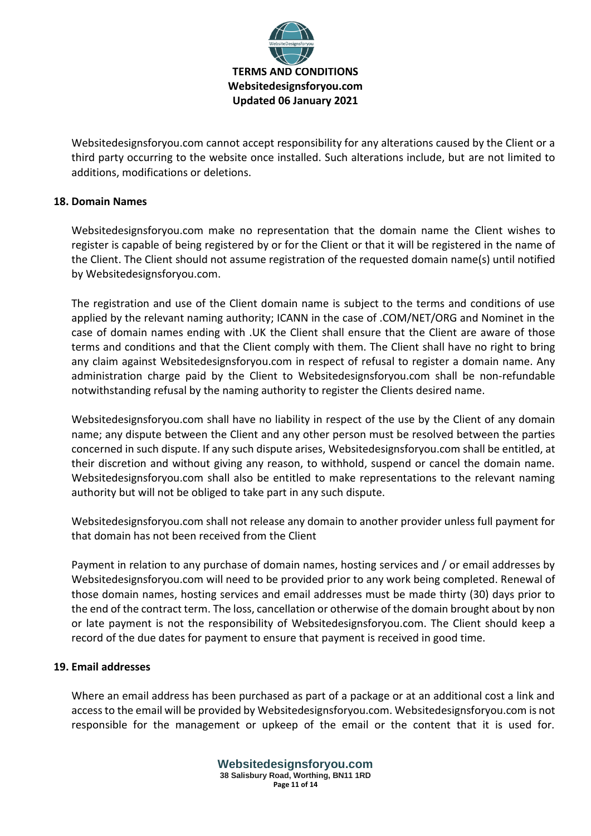

Websitedesignsforyou.com cannot accept responsibility for any alterations caused by the Client or a third party occurring to the website once installed. Such alterations include, but are not limited to additions, modifications or deletions.

## **18. Domain Names**

Websitedesignsforyou.com make no representation that the domain name the Client wishes to register is capable of being registered by or for the Client or that it will be registered in the name of the Client. The Client should not assume registration of the requested domain name(s) until notified by Websitedesignsforyou.com.

The registration and use of the Client domain name is subject to the terms and conditions of use applied by the relevant naming authority; ICANN in the case of .COM/NET/ORG and Nominet in the case of domain names ending with .UK the Client shall ensure that the Client are aware of those terms and conditions and that the Client comply with them. The Client shall have no right to bring any claim against Websitedesignsforyou.com in respect of refusal to register a domain name. Any administration charge paid by the Client to Websitedesignsforyou.com shall be non-refundable notwithstanding refusal by the naming authority to register the Clients desired name.

Websitedesignsforyou.com shall have no liability in respect of the use by the Client of any domain name; any dispute between the Client and any other person must be resolved between the parties concerned in such dispute. If any such dispute arises, Websitedesignsforyou.com shall be entitled, at their discretion and without giving any reason, to withhold, suspend or cancel the domain name. Websitedesignsforyou.com shall also be entitled to make representations to the relevant naming authority but will not be obliged to take part in any such dispute.

Websitedesignsforyou.com shall not release any domain to another provider unless full payment for that domain has not been received from the Client

Payment in relation to any purchase of domain names, hosting services and / or email addresses by Websitedesignsforyou.com will need to be provided prior to any work being completed. Renewal of those domain names, hosting services and email addresses must be made thirty (30) days prior to the end of the contract term. The loss, cancellation or otherwise of the domain brought about by non or late payment is not the responsibility of Websitedesignsforyou.com. The Client should keep a record of the due dates for payment to ensure that payment is received in good time.

### **19. Email addresses**

Where an email address has been purchased as part of a package or at an additional cost a link and access to the email will be provided by Websitedesignsforyou.com. Websitedesignsforyou.com is not responsible for the management or upkeep of the email or the content that it is used for.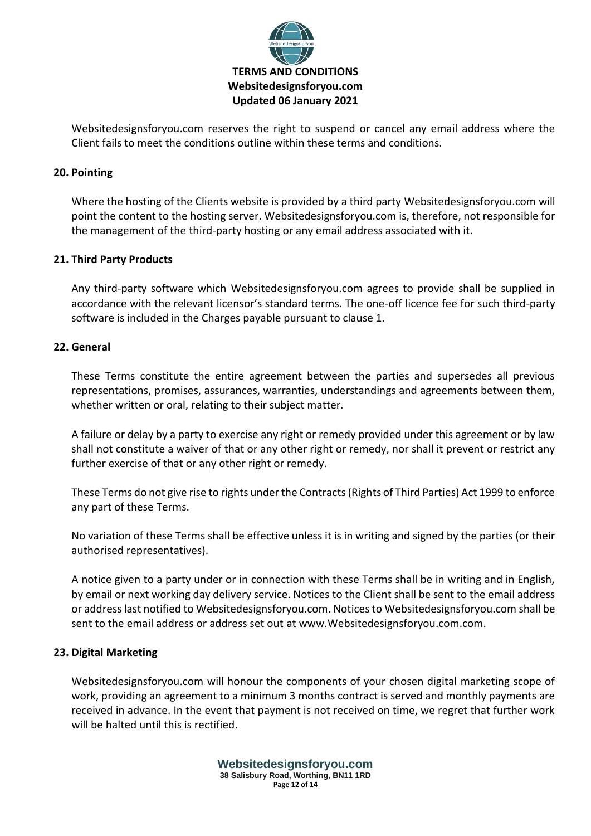

Websitedesignsforyou.com reserves the right to suspend or cancel any email address where the Client fails to meet the conditions outline within these terms and conditions.

## **20. Pointing**

Where the hosting of the Clients website is provided by a third party Websitedesignsforyou.com will point the content to the hosting server. Websitedesignsforyou.com is, therefore, not responsible for the management of the third-party hosting or any email address associated with it.

### **21. Third Party Products**

Any third-party software which Websitedesignsforyou.com agrees to provide shall be supplied in accordance with the relevant licensor's standard terms. The one-off licence fee for such third-party software is included in the Charges payable pursuant to clause 1.

### **22. General**

These Terms constitute the entire agreement between the parties and supersedes all previous representations, promises, assurances, warranties, understandings and agreements between them, whether written or oral, relating to their subject matter.

A failure or delay by a party to exercise any right or remedy provided under this agreement or by law shall not constitute a waiver of that or any other right or remedy, nor shall it prevent or restrict any further exercise of that or any other right or remedy.

These Terms do not give rise to rights under the Contracts (Rights of Third Parties) Act 1999 to enforce any part of these Terms.

No variation of these Terms shall be effective unless it is in writing and signed by the parties (or their authorised representatives).

A notice given to a party under or in connection with these Terms shall be in writing and in English, by email or next working day delivery service. Notices to the Client shall be sent to the email address or address last notified to Websitedesignsforyou.com. Notices to Websitedesignsforyou.com shall be sent to the email address or address set out at www.Websitedesignsforyou.com.com.

#### **23. Digital Marketing**

Websitedesignsforyou.com will honour the components of your chosen digital marketing scope of work, providing an agreement to a minimum 3 months contract is served and monthly payments are received in advance. In the event that payment is not received on time, we regret that further work will be halted until this is rectified.

> **Websitedesignsforyou.com 38 Salisbury Road, Worthing, BN11 1RD Page 12 of 14**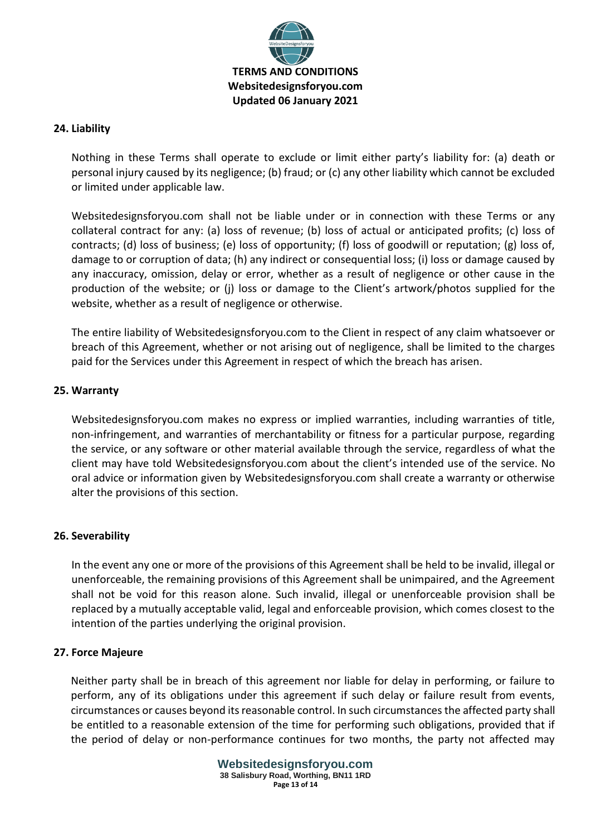

### **24. Liability**

Nothing in these Terms shall operate to exclude or limit either party's liability for: (a) death or personal injury caused by its negligence; (b) fraud; or (c) any other liability which cannot be excluded or limited under applicable law.

Websitedesignsforyou.com shall not be liable under or in connection with these Terms or any collateral contract for any: (a) loss of revenue; (b) loss of actual or anticipated profits; (c) loss of contracts; (d) loss of business; (e) loss of opportunity; (f) loss of goodwill or reputation; (g) loss of, damage to or corruption of data; (h) any indirect or consequential loss; (i) loss or damage caused by any inaccuracy, omission, delay or error, whether as a result of negligence or other cause in the production of the website; or (j) loss or damage to the Client's artwork/photos supplied for the website, whether as a result of negligence or otherwise.

The entire liability of Websitedesignsforyou.com to the Client in respect of any claim whatsoever or breach of this Agreement, whether or not arising out of negligence, shall be limited to the charges paid for the Services under this Agreement in respect of which the breach has arisen.

### **25. Warranty**

Websitedesignsforyou.com makes no express or implied warranties, including warranties of title, non-infringement, and warranties of merchantability or fitness for a particular purpose, regarding the service, or any software or other material available through the service, regardless of what the client may have told Websitedesignsforyou.com about the client's intended use of the service. No oral advice or information given by Websitedesignsforyou.com shall create a warranty or otherwise alter the provisions of this section.

## **26. Severability**

In the event any one or more of the provisions of this Agreement shall be held to be invalid, illegal or unenforceable, the remaining provisions of this Agreement shall be unimpaired, and the Agreement shall not be void for this reason alone. Such invalid, illegal or unenforceable provision shall be replaced by a mutually acceptable valid, legal and enforceable provision, which comes closest to the intention of the parties underlying the original provision.

#### **27. Force Majeure**

Neither party shall be in breach of this agreement nor liable for delay in performing, or failure to perform, any of its obligations under this agreement if such delay or failure result from events, circumstances or causes beyond its reasonable control. In such circumstances the affected party shall be entitled to a reasonable extension of the time for performing such obligations, provided that if the period of delay or non-performance continues for two months, the party not affected may

> **Websitedesignsforyou.com 38 Salisbury Road, Worthing, BN11 1RD Page 13 of 14**